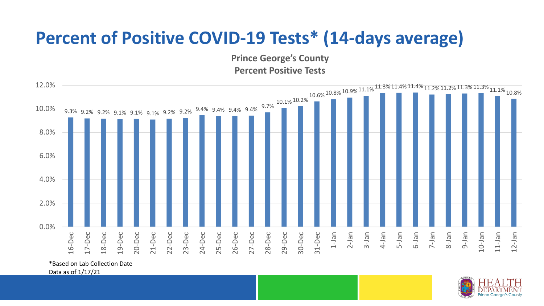## **Percent of Positive COVID-19 Tests\* (14-days average)**

**Prince George's County Percent Positive Tests**



\*Based on Lab Collection Date

Data as of 1/17/21

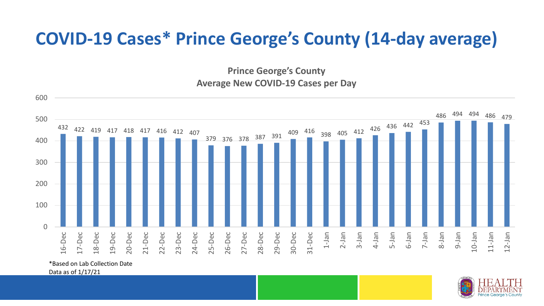## **COVID-19 Cases\* Prince George's County (14-day average)**

**Prince George's County Average New COVID-19 Cases per Day**



\*Based on Lab Collection Date

Data as of 1/17/21